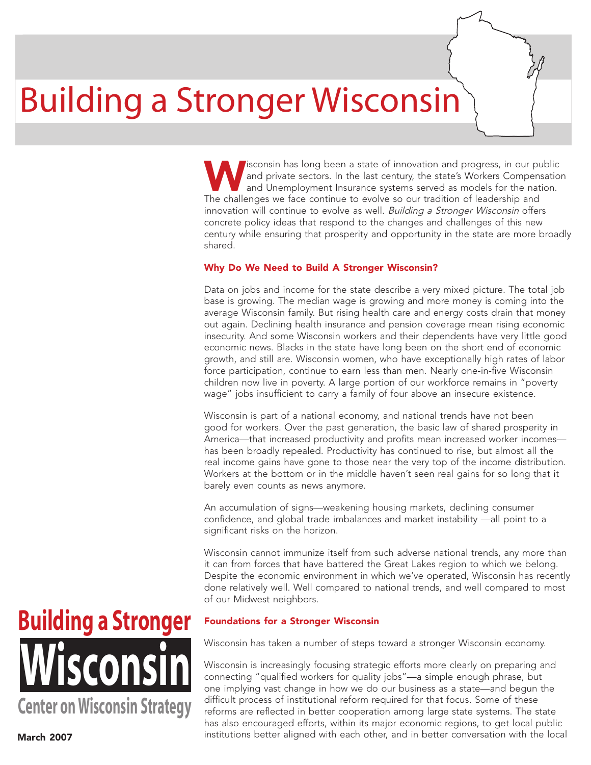# Building a Stronger Wisconsin

Isconsin has long been a state of innovation and progress, in our public and private sectors. In the last century, the state's Workers Compensation and Unemployment Insurance systems served as models for the nation. The challenges we face continue to evolve so our tradition of leadership and innovation will continue to evolve as well. Building a Stronger Wisconsin offers concrete policy ideas that respond to the changes and challenges of this new century while ensuring that prosperity and opportunity in the state are more broadly shared.

### Why Do We Need to Build A Stronger Wisconsin?

Data on jobs and income for the state describe a very mixed picture. The total job base is growing. The median wage is growing and more money is coming into the average Wisconsin family. But rising health care and energy costs drain that money out again. Declining health insurance and pension coverage mean rising economic insecurity. And some Wisconsin workers and their dependents have very little good economic news. Blacks in the state have long been on the short end of economic growth, and still are. Wisconsin women, who have exceptionally high rates of labor force participation, continue to earn less than men. Nearly one-in-five Wisconsin children now live in poverty. A large portion of our workforce remains in "poverty wage" jobs insufficient to carry a family of four above an insecure existence.

Wisconsin is part of a national economy, and national trends have not been good for workers. Over the past generation, the basic law of shared prosperity in America—that increased productivity and profits mean increased worker incomes has been broadly repealed. Productivity has continued to rise, but almost all the real income gains have gone to those near the very top of the income distribution. Workers at the bottom or in the middle haven't seen real gains for so long that it barely even counts as news anymore.

An accumulation of signs—weakening housing markets, declining consumer confidence, and global trade imbalances and market instability —all point to a significant risks on the horizon.

Wisconsin cannot immunize itself from such adverse national trends, any more than it can from forces that have battered the Great Lakes region to which we belong. Despite the economic environment in which we've operated, Wisconsin has recently done relatively well. Well compared to national trends, and well compared to most of our Midwest neighbors.

## **Wisconsin Building a Stronger Center onWisconsin Strategy**

### Foundations for a Stronger Wisconsin

Wisconsin has taken a number of steps toward a stronger Wisconsin economy.

Wisconsin is increasingly focusing strategic efforts more clearly on preparing and connecting "qualified workers for quality jobs"—a simple enough phrase, but one implying vast change in how we do our business as a state—and begun the difficult process of institutional reform required for that focus. Some of these reforms are reflected in better cooperation among large state systems. The state has also encouraged efforts, within its major economic regions, to get local public institutions better aligned with each other, and in better conversation with the local